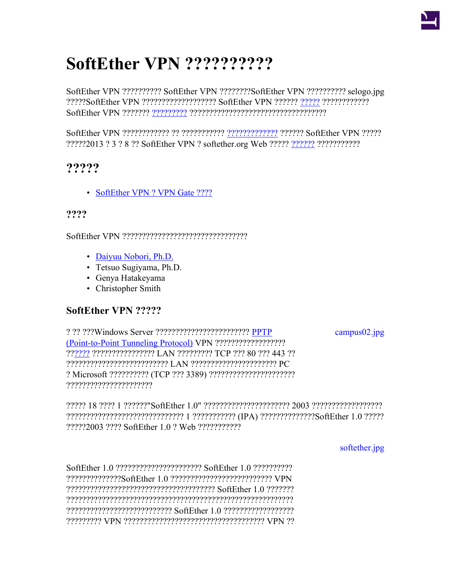## **SoftEther VPN ??????????**

SoftEther VPN ?????????? SoftEther VPN ????????SoftEther VPN ?????????? selogo.jpg ?????SoftEther VPN ??????????????????? SoftEther VPN ?????? [?????](https://ja.softether.org/7-forum) ???????????? SoftEther VPN ??????? [?????????](http://www.tsukuba.ac.jp/) ???????????????????????????????????

SoftEther VPN ???????????? ?? ??????????? [?????????????](https://ja.softether.org/4-docs/9-research) ?????? SoftEther VPN ????? ?????2013 ? 3 ? 8 ?? SoftEther VPN ? softether.org Web ????? [??????](https://ja.softether.org/4-docs/1-manual/1/1.3) ???????????

## **?????**

• [SoftEther VPN ? VPN Gate ????](https://ja.softether.org/9-about/SoftEther_VPN_%E3%81%A8_VPN_Gate_%E3%81%A8%E3%81%AE%E9%81%95%E3%81%84)

## **????**

SoftEther VPN ????????????????????????????????

- [Daiyuu Nobori, Ph.D.](http://dnobori.cs.tsukuba.ac.jp/)
- Tetsuo Sugiyama, Ph.D.
- Genya Hatakeyama
- Christopher Smith

## **SoftEther VPN ?????**

? ?? ???Windows Server ???????????????????????? [PPTP](http://en.wikipedia.org/wiki/Point-to-Point_Tunneling_Protocol) [campus02.jpg](https://ja.softether.org/@api/deki/files/559/=campus02.jpg) [\(Point-to-Point Tunneling Protocol\)](http://en.wikipedia.org/wiki/Point-to-Point_Tunneling_Protocol) VPN ?????????????????? ??[????](http://www.tsukuba.ac.jp/) ???????????????? LAN ????????? TCP ??? 80 ??? 443 ?? ?????????????????????????? LAN ?????????????????????? PC ? Microsoft ?????????? (TCP ??? 3389) ?????????????????????? ??????????????????????

????? 18 ???? 1 ??????"SoftEther 1.0" ?????????????????????? 2003 ?????????????????? ?????????????????????????????? 1 ??????????? (IPA) ??????????????SoftEther 1.0 ????? ?????2003 ???? SoftEther 1.0 ? Web ???????????

[softether.jpg](https://ja.softether.org/@api/deki/files/549/=softether.jpg)

SoftEther 1.0 ?????????????????????? SoftEther 1.0 ?????????? ??????????????SoftEther 1.0 ?????????????????????????? VPN ?????????????????????????????????????? SoftEther 1.0 ??????? ?????????????????????????????????????????????????????????? ??????????????????????????? SoftEther 1.0 ?????????????????? ????????? VPN ???????????????????????????????????? VPN ??

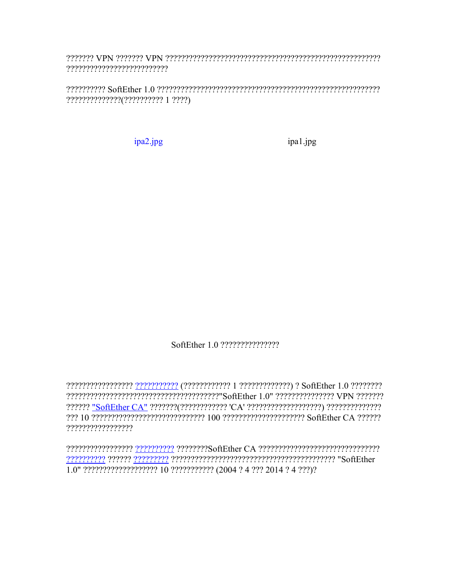research that the construction of the construction of the construction of the construction of the construction ??????????????(?????????? 1 ????)

ipa2.jpg

ipa1.jpg

??????????????????